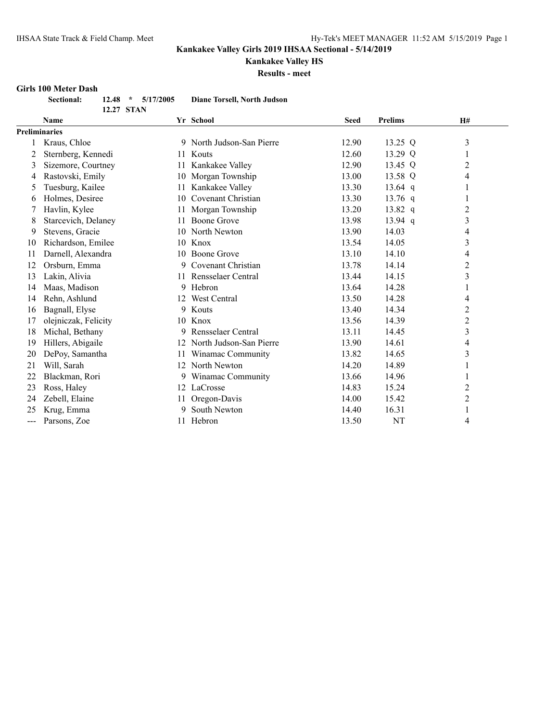# **Kankakee Valley HS**

**Results - meet**

#### **Girls 100 Meter Dash**

| <b>Sectional:</b> |            | $12.48 * 5/17/2005$ |  | <b>Diane Torsell, North Judson</b> |  |
|-------------------|------------|---------------------|--|------------------------------------|--|
|                   | 12.27 STAN |                     |  |                                    |  |

|     | <b>Name</b>          |    | Yr School                 | <b>Seed</b> | <b>Prelims</b> | H#             |
|-----|----------------------|----|---------------------------|-------------|----------------|----------------|
|     | <b>Preliminaries</b> |    |                           |             |                |                |
|     | Kraus, Chloe         |    | 9 North Judson-San Pierre | 12.90       | 13.25 Q        | 3              |
| 2   | Sternberg, Kennedi   | 11 | Kouts                     | 12.60       | 13.29 Q        | 1              |
| 3   | Sizemore, Courtney   | 11 | Kankakee Valley           | 12.90       | 13.45 Q        | 2              |
| 4   | Rastovski, Emily     | 10 | Morgan Township           | 13.00       | 13.58 Q        | 4              |
| 5   | Tuesburg, Kailee     | 11 | Kankakee Valley           | 13.30       | 13.64 $q$      |                |
| 6   | Holmes, Desiree      | 10 | Covenant Christian        | 13.30       | 13.76 $q$      | 1              |
|     | Havlin, Kylee        | 11 | Morgan Township           | 13.20       | 13.82 q        | 2              |
| 8   | Starcevich, Delaney  | 11 | Boone Grove               | 13.98       | $13.94$ q      | 3              |
| 9   | Stevens, Gracie      | 10 | North Newton              | 13.90       | 14.03          | 4              |
| 10  | Richardson, Emilee   | 10 | Knox                      | 13.54       | 14.05          | 3              |
| 11  | Darnell, Alexandra   |    | 10 Boone Grove            | 13.10       | 14.10          | 4              |
| 12  | Orsburn, Emma        | 9  | Covenant Christian        | 13.78       | 14.14          | $\overline{c}$ |
| 13  | Lakin, Alivia        | 11 | Rensselaer Central        | 13.44       | 14.15          | 3              |
| 14  | Maas, Madison        | 9  | Hebron                    | 13.64       | 14.28          | 1              |
| 14  | Rehn, Ashlund        | 12 | West Central              | 13.50       | 14.28          | 4              |
| 16  | Bagnall, Elyse       | 9  | Kouts                     | 13.40       | 14.34          | 2              |
| 17  | olejniczak, Felicity | 10 | Knox                      | 13.56       | 14.39          | $\overline{c}$ |
| 18  | Michal, Bethany      | 9  | Rensselaer Central        | 13.11       | 14.45          | 3              |
| 19  | Hillers, Abigaile    |    | North Judson-San Pierre   | 13.90       | 14.61          | 4              |
| 20  | DePoy, Samantha      | 11 | Winamac Community         | 13.82       | 14.65          | 3              |
| 21  | Will, Sarah          | 12 | North Newton              | 14.20       | 14.89          | 1              |
| 22  | Blackman, Rori       | 9  | Winamac Community         | 13.66       | 14.96          |                |
| 23  | Ross, Haley          |    | 12 LaCrosse               | 14.83       | 15.24          | 2              |
| 24  | Zebell, Elaine       | 11 | Oregon-Davis              | 14.00       | 15.42          | 2              |
| 25  | Krug, Emma           | 9  | South Newton              | 14.40       | 16.31          | $\mathbf{1}$   |
| --- | Parsons, Zoe         |    | 11 Hebron                 | 13.50       | NT             | 4              |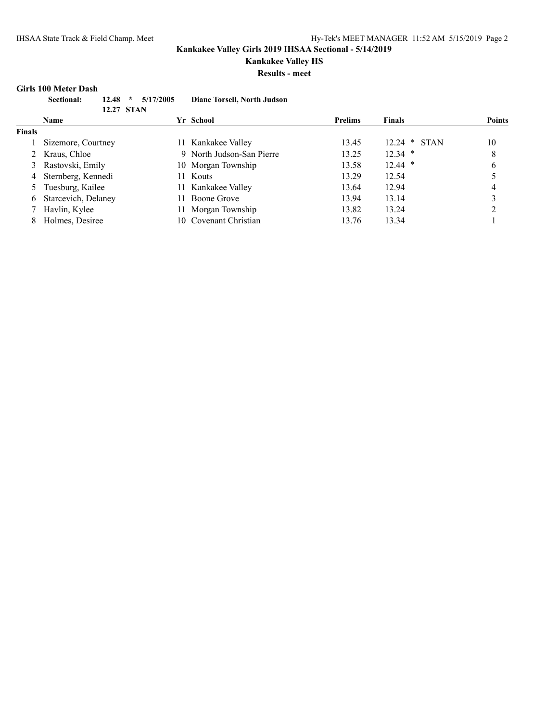# **Kankakee Valley HS**

**Results - meet**

#### **Girls 100 Meter Dash**

| Sectional: | $12.48 * 5/17/2005$ | Diane Torsell, North Judson |
|------------|---------------------|-----------------------------|
|            | 12.27 STAN          |                             |
| Name       |                     | Yr School                   |

|               | Name                  |     | Yr School                 | <b>Prelims</b> | <b>Finals</b>  | <b>Points</b> |
|---------------|-----------------------|-----|---------------------------|----------------|----------------|---------------|
| <b>Finals</b> |                       |     |                           |                |                |               |
|               | Sizemore, Courtney    |     | 11 Kankakee Valley        | 13.45          | $12.24 * STAN$ | 10            |
|               | 2 Kraus, Chloe        |     | 9 North Judson-San Pierre | 13.25          | $12.34$ *      | 8             |
|               | 3 Rastovski, Emily    |     | 10 Morgan Township        | 13.58          | $12.44$ *      | 6             |
|               | 4 Sternberg, Kennedi  |     | 11 Kouts                  | 13.29          | 12.54          |               |
|               | Tuesburg, Kailee      |     | 11 Kankakee Valley        | 13.64          | 12.94          | 4             |
|               | 6 Starcevich, Delaney | 11. | <b>Boone Grove</b>        | 13.94          | 13.14          |               |
|               | Havlin, Kylee         | 11. | Morgan Township           | 13.82          | 13.24          |               |
|               | Holmes, Desiree       |     | 10 Covenant Christian     | 13.76          | 13.34          |               |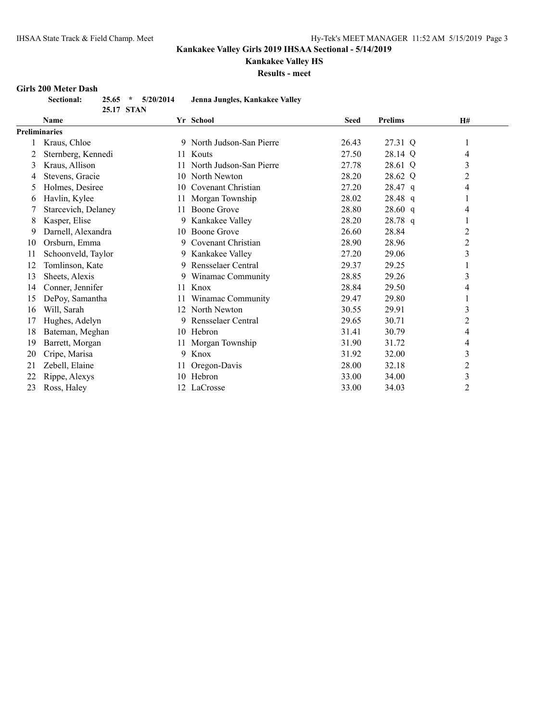# **Kankakee Valley HS**

**Results - meet**

#### **Girls 200 Meter Dash**

| <b>Sectional:</b> | $25.65$ *  | 5/20/2014 | Jenna Jungles, Kankakee Valley |
|-------------------|------------|-----------|--------------------------------|
|                   | 25.17 STAN |           |                                |

|                      | Name                |    | Yr School                 | <b>Seed</b> | <b>Prelims</b> | H#             |
|----------------------|---------------------|----|---------------------------|-------------|----------------|----------------|
| <b>Preliminaries</b> |                     |    |                           |             |                |                |
|                      | Kraus, Chloe        |    | 9 North Judson-San Pierre | 26.43       | 27.31 Q        | 1              |
| 2                    | Sternberg, Kennedi  | 11 | Kouts                     | 27.50       | 28.14 Q        | 4              |
| 3                    | Kraus, Allison      | 11 | North Judson-San Pierre   | 27.78       | 28.61 Q        | 3              |
| 4                    | Stevens, Gracie     | 10 | North Newton              | 28.20       | 28.62 Q        | $\overline{c}$ |
| 5.                   | Holmes, Desiree     | 10 | Covenant Christian        | 27.20       | 28.47 q        | 4              |
| 6                    | Havlin, Kylee       | 11 | Morgan Township           | 28.02       | 28.48 q        | $\bf{l}$       |
|                      | Starcevich, Delaney | 11 | Boone Grove               | 28.80       | 28.60 q        | 4              |
| 8                    | Kasper, Elise       |    | 9 Kankakee Valley         | 28.20       | 28.78 q        | 1              |
| 9                    | Darnell, Alexandra  |    | 10 Boone Grove            | 26.60       | 28.84          | 2              |
| 10                   | Orsburn, Emma       | 9. | Covenant Christian        | 28.90       | 28.96          | 2              |
| 11                   | Schoonveld, Taylor  |    | 9 Kankakee Valley         | 27.20       | 29.06          | 3              |
| 12                   | Tomlinson, Kate     |    | 9 Rensselaer Central      | 29.37       | 29.25          | 1              |
| 13                   | Sheets, Alexis      |    | 9 Winamac Community       | 28.85       | 29.26          | 3              |
| 14                   | Conner, Jennifer    |    | 11 Knox                   | 28.84       | 29.50          | 4              |
| 15                   | DePoy, Samantha     | 11 | Winamac Community         | 29.47       | 29.80          | 1              |
| 16                   | Will, Sarah         | 12 | North Newton              | 30.55       | 29.91          | 3              |
| 17                   | Hughes, Adelyn      | 9. | Rensselaer Central        | 29.65       | 30.71          | $\overline{c}$ |
| 18                   | Bateman, Meghan     | 10 | Hebron                    | 31.41       | 30.79          | 4              |
| 19                   | Barrett, Morgan     | 11 | Morgan Township           | 31.90       | 31.72          | 4              |
| 20                   | Cripe, Marisa       | 9  | Knox                      | 31.92       | 32.00          | 3              |
| 21                   | Zebell, Elaine      | 11 | Oregon-Davis              | 28.00       | 32.18          | $\overline{c}$ |
| 22                   | Rippe, Alexys       | 10 | Hebron                    | 33.00       | 34.00          | 3              |
| 23                   | Ross, Haley         |    | 12 LaCrosse               | 33.00       | 34.03          | $\overline{c}$ |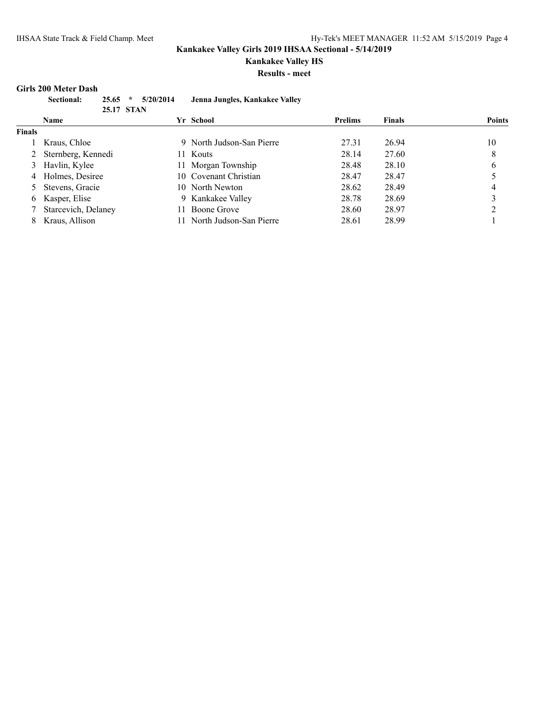### **Kankakee Valley HS**

**Results - meet**

#### **Girls 200 Meter Dash**

| <b>Sectional:</b> | $25.65$ * $5/20/2014$ | Jenna Jungles, Kankakee Valley |
|-------------------|-----------------------|--------------------------------|
|                   | 25.17 STAN            |                                |
| Name              |                       | Yr School                      |

|               | <b>Name</b>          |     | Yr School                 | <b>Prelims</b> | <b>Finals</b> | <b>Points</b> |
|---------------|----------------------|-----|---------------------------|----------------|---------------|---------------|
| <b>Finals</b> |                      |     |                           |                |               |               |
|               | 1 Kraus, Chloe       |     | 9 North Judson-San Pierre | 27.31          | 26.94         | 10            |
|               | 2 Sternberg, Kennedi |     | 11 Kouts                  | 28.14          | 27.60         | 8             |
|               | 3 Havlin, Kylee      |     | 11 Morgan Township        | 28.48          | 28.10         | 6             |
|               | 4 Holmes, Desiree    |     | 10 Covenant Christian     | 28.47          | 28.47         |               |
|               | 5 Stevens, Gracie    |     | 10 North Newton           | 28.62          | 28.49         | 4             |
|               | 6 Kasper, Elise      |     | 9 Kankakee Valley         | 28.78          | 28.69         |               |
|               | Starcevich, Delaney  | 11. | Boone Grove               | 28.60          | 28.97         |               |
|               | Kraus, Allison       |     | North Judson-San Pierre   | 28.61          | 28.99         |               |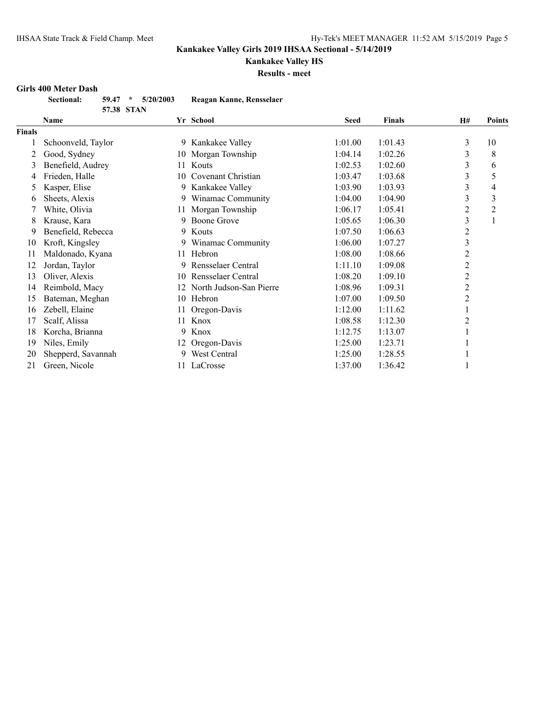# **Kankakee Valley HS**

**Results - meet**

#### **Girls 400 Meter Dash**

| <b>Sectional:</b> |            | $59.47 * 5/20/2003$ | Reagan Kanne, Rensselaer |
|-------------------|------------|---------------------|--------------------------|
|                   | 57.38 STAN |                     |                          |

|        | <b>Name</b>        |     | Yr School               | <b>Seed</b> | <b>Finals</b> | <b>H#</b>      | <b>Points</b> |
|--------|--------------------|-----|-------------------------|-------------|---------------|----------------|---------------|
| Finals |                    |     |                         |             |               |                |               |
|        | Schoonveld, Taylor | 9.  | Kankakee Valley         | 1:01.00     | 1:01.43       | 3              | 10            |
| 2      | Good, Sydney       | 10  | Morgan Township         | 1:04.14     | 1:02.26       | 3              | 8             |
| 3      | Benefield, Audrey  | 11  | Kouts                   | 1:02.53     | 1:02.60       | 3              | 6             |
| 4      | Frieden, Halle     | 10  | Covenant Christian      | 1:03.47     | 1:03.68       | 3              | 5             |
| 5      | Kasper, Elise      | 9   | Kankakee Valley         | 1:03.90     | 1:03.93       | 3              | 4             |
| 6      | Sheets, Alexis     | 9.  | Winamac Community       | 1:04.00     | 1:04.90       | 3              | 3             |
|        | White, Olivia      | 11  | Morgan Township         | 1:06.17     | 1:05.41       | 2              | 2             |
| 8      | Krause, Kara       | 9   | Boone Grove             | 1:05.65     | 1:06.30       | 3              |               |
| 9      | Benefield, Rebecca | 9.  | Kouts                   | 1:07.50     | 1:06.63       | 2              |               |
| 10     | Kroft, Kingsley    | 9.  | Winamac Community       | 1:06.00     | 1:07.27       | 3              |               |
| 11     | Maldonado, Kyana   | 11  | Hebron                  | 1:08.00     | 1:08.66       | 2              |               |
| 12     | Jordan, Taylor     | 9   | Rensselaer Central      | 1:11.10     | 1:09.08       | $\overline{2}$ |               |
| 13     | Oliver, Alexis     | 10  | Rensselaer Central      | 1:08.20     | 1:09.10       | $\overline{2}$ |               |
| 14     | Reimbold, Macy     | 12  | North Judson-San Pierre | 1:08.96     | 1:09.31       | $\overline{2}$ |               |
| 15     | Bateman, Meghan    | 10  | Hebron                  | 1:07.00     | 1:09.50       | 2              |               |
| 16     | Zebell, Elaine     | 11. | Oregon-Davis            | 1:12.00     | 1:11.62       |                |               |
| 17     | Scalf, Alissa      | 11  | Knox                    | 1:08.58     | 1:12.30       | 2              |               |
| 18     | Korcha, Brianna    | 9.  | Knox                    | 1:12.75     | 1:13.07       |                |               |
| 19     | Niles, Emily       | 12  | Oregon-Davis            | 1:25.00     | 1:23.71       |                |               |
| 20     | Shepperd, Savannah | 9   | West Central            | 1:25.00     | 1:28.55       |                |               |
| 21     | Green, Nicole      |     | 11 LaCrosse             | 1:37.00     | 1:36.42       |                |               |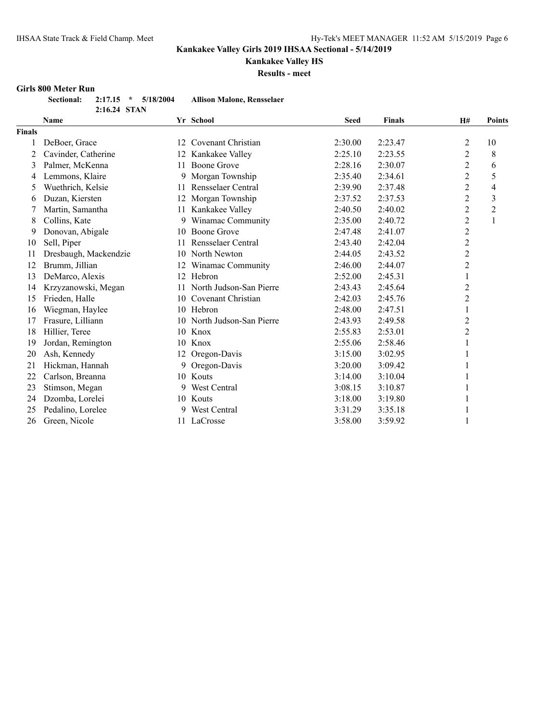# **Kankakee Valley HS**

**Results - meet**

#### **Girls 800 Meter Run**

| Sectional: 2:17.15 * 5/18/2004 |              |  | <b>Allison Malone, Rensselaer</b> |
|--------------------------------|--------------|--|-----------------------------------|
|                                | 2:16.24 STAN |  |                                   |

|               | Name                  |    | Yr School               | <b>Seed</b> | <b>Finals</b> | H#                      | Points         |
|---------------|-----------------------|----|-------------------------|-------------|---------------|-------------------------|----------------|
| <b>Finals</b> |                       |    |                         |             |               |                         |                |
|               | DeBoer, Grace         | 12 | Covenant Christian      | 2:30.00     | 2:23.47       | $\overline{2}$          | 10             |
| 2             | Cavinder, Catherine   | 12 | Kankakee Valley         | 2:25.10     | 2:23.55       | $\overline{2}$          | 8              |
| 3             | Palmer, McKenna       | 11 | Boone Grove             | 2:28.16     | 2:30.07       | $\overline{c}$          | 6              |
| 4             | Lemmons, Klaire       | 9  | Morgan Township         | 2:35.40     | 2:34.61       | $\overline{c}$          | 5              |
| 5             | Wuethrich, Kelsie     | 11 | Rensselaer Central      | 2:39.90     | 2:37.48       | 2                       | 4              |
| 6             | Duzan, Kiersten       | 12 | Morgan Township         | 2:37.52     | 2:37.53       | $\overline{c}$          | 3              |
|               | Martin, Samantha      | 11 | Kankakee Valley         | 2:40.50     | 2:40.02       | $\overline{c}$          | $\overline{2}$ |
| 8             | Collins, Kate         | 9. | Winamac Community       | 2:35.00     | 2:40.72       | $\overline{c}$          | 1              |
| 9             | Donovan, Abigale      | 10 | <b>Boone Grove</b>      | 2:47.48     | 2:41.07       | $\overline{\mathbf{c}}$ |                |
| 10            | Sell, Piper           | 11 | Rensselaer Central      | 2:43.40     | 2:42.04       | $\overline{c}$          |                |
| 11            | Dresbaugh, Mackendzie | 10 | North Newton            | 2:44.05     | 2:43.52       | $\overline{c}$          |                |
| 12            | Brumm, Jillian        |    | Winamac Community       | 2:46.00     | 2:44.07       | $\overline{c}$          |                |
| 13            | DeMarco, Alexis       | 12 | Hebron                  | 2:52.00     | 2:45.31       |                         |                |
| 14            | Krzyzanowski, Megan   | 11 | North Judson-San Pierre | 2:43.43     | 2:45.64       | $\overline{c}$          |                |
| 15            | Frieden, Halle        | 10 | Covenant Christian      | 2:42.03     | 2:45.76       | $\overline{c}$          |                |
| 16            | Wiegman, Haylee       |    | 10 Hebron               | 2:48.00     | 2:47.51       | 1                       |                |
| 17            | Frasure, Lilliann     | 10 | North Judson-San Pierre | 2:43.93     | 2:49.58       | $\overline{c}$          |                |
| 18            | Hillier, Teree        |    | 10 Knox                 | 2:55.83     | 2:53.01       | $\overline{c}$          |                |
| 19            | Jordan, Remington     | 10 | Knox                    | 2:55.06     | 2:58.46       |                         |                |
| 20            | Ash, Kennedy          | 12 | Oregon-Davis            | 3:15.00     | 3:02.95       |                         |                |
| 21            | Hickman, Hannah       | 9. | Oregon-Davis            | 3:20.00     | 3:09.42       |                         |                |
| 22            | Carlson, Breanna      |    | 10 Kouts                | 3:14.00     | 3:10.04       |                         |                |
| 23            | Stimson, Megan        |    | West Central            | 3:08.15     | 3:10.87       |                         |                |
| 24            | Dzomba, Lorelei       |    | 10 Kouts                | 3:18.00     | 3:19.80       |                         |                |
| 25            | Pedalino, Lorelee     | 9  | West Central            | 3:31.29     | 3:35.18       |                         |                |
| 26            | Green, Nicole         |    | 11 LaCrosse             | 3:58.00     | 3:59.92       |                         |                |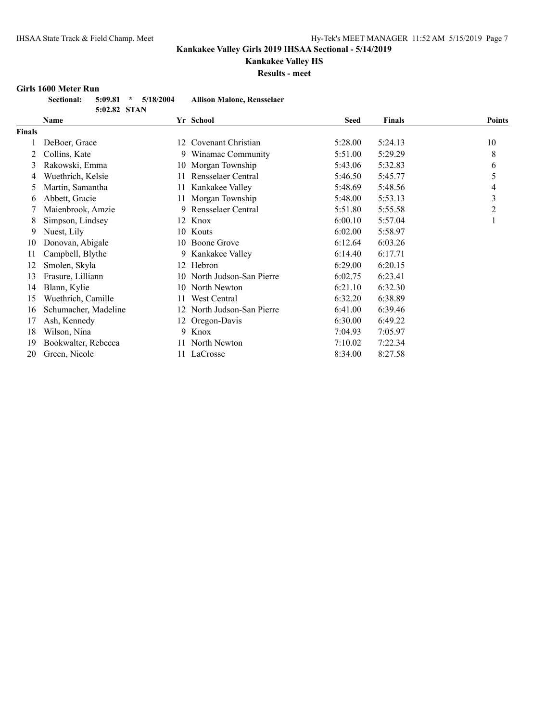# **Kankakee Valley HS**

**Results - meet**

#### **Girls 1600 Meter Run**

| <b>Sectional:</b> |              | $5:09.81$ * $5/18/2004$ | <b>Allison Malone, Rensselaer</b> |
|-------------------|--------------|-------------------------|-----------------------------------|
|                   | 5:02.82 STAN |                         |                                   |

|               | Name                 |    | Yr School                  | <b>Seed</b> | <b>Finals</b> | <b>Points</b>  |
|---------------|----------------------|----|----------------------------|-------------|---------------|----------------|
| <b>Finals</b> |                      |    |                            |             |               |                |
|               | DeBoer, Grace        | 12 | Covenant Christian         | 5:28.00     | 5:24.13       | 10             |
|               | Collins, Kate        | 9  | Winamac Community          | 5:51.00     | 5:29.29       | 8              |
| 3             | Rakowski, Emma       |    | 10 Morgan Township         | 5:43.06     | 5:32.83       | 6              |
| 4             | Wuethrich, Kelsie    |    | Rensselaer Central         | 5:46.50     | 5:45.77       | 5              |
| 5             | Martin, Samantha     | 11 | Kankakee Valley            | 5:48.69     | 5:48.56       | 4              |
| 6             | Abbett, Gracie       | 11 | Morgan Township            | 5:48.00     | 5:53.13       | 3              |
|               | Maienbrook, Amzie    | 9  | Rensselaer Central         | 5:51.80     | 5:55.58       | $\overline{2}$ |
| 8             | Simpson, Lindsey     | 12 | Knox                       | 6:00.10     | 5:57.04       |                |
| 9             | Nuest, Lily          | 10 | Kouts                      | 6:02.00     | 5:58.97       |                |
| 10            | Donovan, Abigale     | 10 | Boone Grove                | 6:12.64     | 6:03.26       |                |
| 11            | Campbell, Blythe     | 9  | Kankakee Valley            | 6:14.40     | 6:17.71       |                |
| 12            | Smolen, Skyla        | 12 | Hebron                     | 6:29.00     | 6:20.15       |                |
| 13            | Frasure, Lilliann    | 10 | North Judson-San Pierre    | 6:02.75     | 6:23.41       |                |
| 14            | Blann, Kylie         | 10 | North Newton               | 6:21.10     | 6:32.30       |                |
| 15            | Wuethrich, Camille   | 11 | West Central               | 6:32.20     | 6:38.89       |                |
| 16            | Schumacher, Madeline |    | 12 North Judson-San Pierre | 6:41.00     | 6:39.46       |                |
| 17            | Ash, Kennedy         | 12 | Oregon-Davis               | 6:30.00     | 6:49.22       |                |
| 18            | Wilson, Nina         | 9  | Knox                       | 7:04.93     | 7:05.97       |                |
| 19            | Bookwalter, Rebecca  |    | North Newton               | 7:10.02     | 7:22.34       |                |
| 20            | Green, Nicole        |    | 11 LaCrosse                | 8:34.00     | 8:27.58       |                |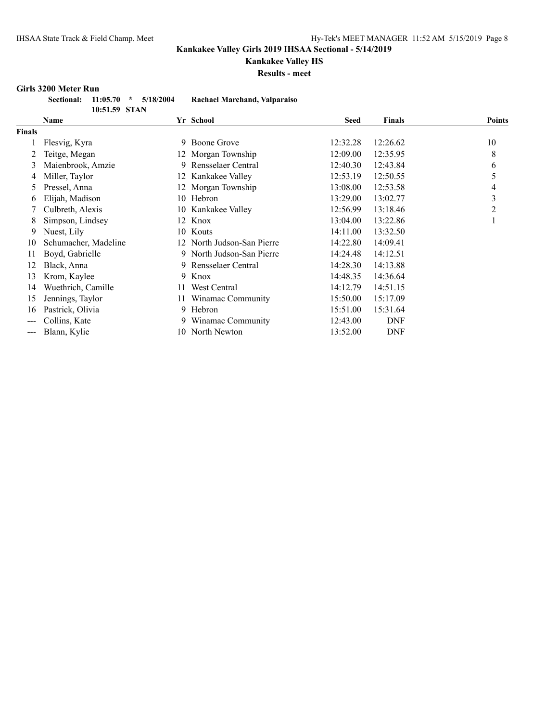# **Kankakee Valley HS**

**Results - meet**

#### **Girls 3200 Meter Run**

|               | Sectional: 11:05.70 * 5/18/2004 | Rachael Marchand, Valparaiso |
|---------------|---------------------------------|------------------------------|
| 10:51.59 STAN |                                 |                              |

|               | Name                 |    | Yr School                  | Seed     | <b>Finals</b> | <b>Points</b> |
|---------------|----------------------|----|----------------------------|----------|---------------|---------------|
| <b>Finals</b> |                      |    |                            |          |               |               |
|               | Flesvig, Kyra        | 9  | Boone Grove                | 12:32.28 | 12:26.62      | 10            |
|               | Teitge, Megan        |    | 12 Morgan Township         | 12:09.00 | 12:35.95      | 8             |
| 3             | Maienbrook, Amzie    | 9  | Rensselaer Central         | 12:40.30 | 12:43.84      | 6             |
| 4             | Miller, Taylor       |    | 12 Kankakee Valley         | 12:53.19 | 12:50.55      | 5             |
| 5             | Pressel, Anna        | 12 | Morgan Township            | 13:08.00 | 12:53.58      | 4             |
| 6             | Elijah, Madison      | 10 | Hebron                     | 13:29.00 | 13:02.77      | 3             |
|               | Culbreth, Alexis     | 10 | Kankakee Valley            | 12:56.99 | 13:18.46      | 2             |
| 8             | Simpson, Lindsey     |    | 12 Knox                    | 13:04.00 | 13:22.86      | -1            |
| 9             | Nuest, Lily          |    | 10 Kouts                   | 14:11.00 | 13:32.50      |               |
| 10            | Schumacher, Madeline |    | 12 North Judson-San Pierre | 14:22.80 | 14:09.41      |               |
| 11            | Boyd, Gabrielle      |    | 9 North Judson-San Pierre  | 14:24.48 | 14:12.51      |               |
| 12            | Black, Anna          | 9  | Rensselaer Central         | 14:28.30 | 14:13.88      |               |
| 13            | Krom, Kaylee         | 9  | Knox                       | 14:48.35 | 14:36.64      |               |
| 14            | Wuethrich, Camille   | 11 | West Central               | 14:12.79 | 14:51.15      |               |
| 15            | Jennings, Taylor     |    | Winamac Community          | 15:50.00 | 15:17.09      |               |
| 16            | Pastrick, Olivia     | 9  | Hebron                     | 15:51.00 | 15:31.64      |               |
| ---           | Collins, Kate        | 9. | Winamac Community          | 12:43.00 | <b>DNF</b>    |               |
| $---$         | Blann, Kylie         |    | 10 North Newton            | 13:52.00 | <b>DNF</b>    |               |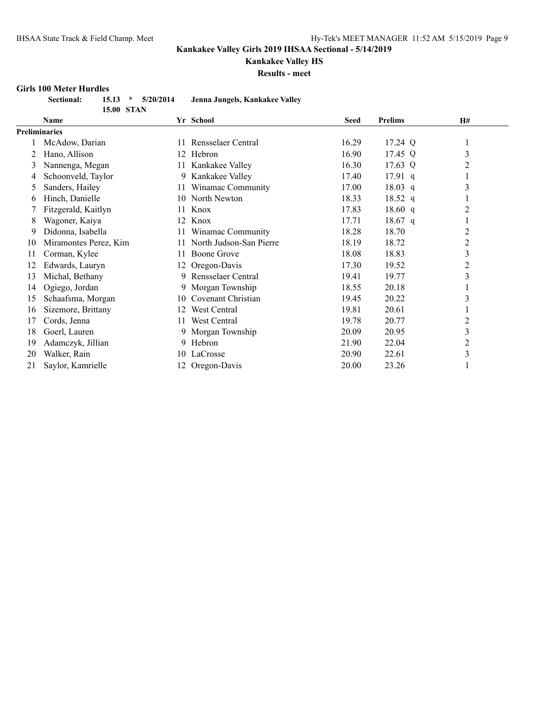# **Kankakee Valley HS**

**Results - meet**

#### **Girls 100 Meter Hurdles**

| <b>Sectional:</b> | $15.13$ *         | 5/20/2014 | Jenna Jungels, Kankakee Valley |
|-------------------|-------------------|-----------|--------------------------------|
|                   | <b>15.00 STAN</b> |           |                                |

|                      | <b>Name</b>           |     | Yr School               | <b>Seed</b> | <b>Prelims</b> | <b>H#</b>      |
|----------------------|-----------------------|-----|-------------------------|-------------|----------------|----------------|
| <b>Preliminaries</b> |                       |     |                         |             |                |                |
|                      | McAdow, Darian        | 11  | Rensselaer Central      | 16.29       | 17.24 Q        | 1              |
|                      | Hano, Allison         |     | 12 Hebron               | 16.90       | 17.45 Q        | 3              |
| 3                    | Nannenga, Megan       | 11- | Kankakee Valley         | 16.30       | 17.63 Q        | 2              |
| 4                    | Schoonveld, Taylor    | 9   | Kankakee Valley         | 17.40       | $17.91$ q      |                |
| Ć.                   | Sanders, Hailey       | 11  | Winamac Community       | 17.00       | $18.03$ q      | 3              |
| O                    | Hinch, Danielle       | 10  | North Newton            | 18.33       | 18.52 q        |                |
|                      | Fitzgerald, Kaitlyn   | 11  | Knox                    | 17.83       | 18.60 $q$      | 2              |
| 8                    | Wagoner, Kaiya        | 12  | Knox                    | 17.71       | 18.67 q        |                |
| 9                    | Didonna, Isabella     | 11  | Winamac Community       | 18.28       | 18.70          | 2              |
| 10                   | Miramontes Perez, Kim | 11  | North Judson-San Pierre | 18.19       | 18.72          | $\overline{2}$ |
| 11                   | Corman, Kylee         | 11  | Boone Grove             | 18.08       | 18.83          | 3              |
| 12                   | Edwards, Lauryn       | 12  | Oregon-Davis            | 17.30       | 19.52          | 2              |
| 13                   | Michal, Bethany       |     | 9 Rensselaer Central    | 19.41       | 19.77          | 3              |
| 14                   | Ogiego, Jordan        |     | 9 Morgan Township       | 18.55       | 20.18          |                |
| 15                   | Schaafsma, Morgan     | 10  | Covenant Christian      | 19.45       | 20.22          | 3              |
| 16                   | Sizemore, Brittany    | 12  | West Central            | 19.81       | 20.61          |                |
| 17                   | Cords, Jenna          | 11  | West Central            | 19.78       | 20.77          | 2              |
| 18                   | Goerl, Lauren         |     | 9 Morgan Township       | 20.09       | 20.95          | 3              |
| 19                   | Adamczyk, Jillian     | 9   | Hebron                  | 21.90       | 22.04          | $\overline{2}$ |
| 20                   | Walker, Rain          | 10  | LaCrosse                | 20.90       | 22.61          | 3              |
| 21                   | Saylor, Kamrielle     | 12  | Oregon-Davis            | 20.00       | 23.26          |                |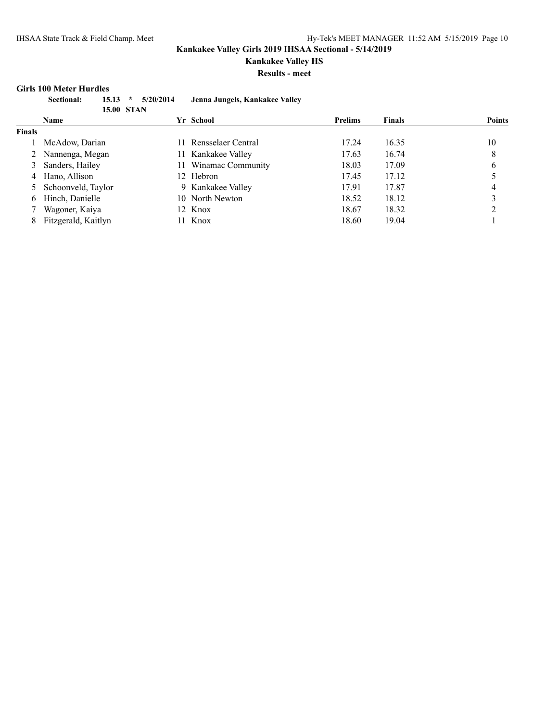**Kankakee Valley HS**

**Results - meet**

#### **Girls 100 Meter Hurdles**

| Sectional:    | 5/20/2014<br>$15.13$ * | Jenna Jungels, Kankakee Valley |                |               |        |
|---------------|------------------------|--------------------------------|----------------|---------------|--------|
|               | <b>15.00 STAN</b>      |                                |                |               |        |
| <b>Name</b>   | Yr                     | School                         | <b>Prelims</b> | <b>Finals</b> | Points |
| <b>Finals</b> |                        |                                |                |               |        |

|       | $\cdots$             |     | <i></i> vuvvi         | а темпе | .     | T ATTILA |
|-------|----------------------|-----|-----------------------|---------|-------|----------|
| inals |                      |     |                       |         |       |          |
|       | McAdow, Darian       |     | 11 Rensselaer Central | 17.24   | 16.35 | 10       |
|       | 2 Nannenga, Megan    |     | 11 Kankakee Valley    | 17.63   | 16.74 | 8        |
|       | 3 Sanders, Hailey    |     | 11 Winamac Community  | 18.03   | 17.09 | 6        |
|       | 4 Hano, Allison      |     | 12 Hebron             | 17.45   | 17.12 |          |
|       | 5 Schoonveld, Taylor |     | 9 Kankakee Valley     | 17.91   | 17.87 | 4        |
|       | 6 Hinch, Danielle    |     | 10 North Newton       | 18.52   | 18.12 |          |
|       | Wagoner, Kaiya       |     | 12 Knox               | 18.67   | 18.32 |          |
| 8.    | Fitzgerald, Kaitlyn  | 11. | Knox                  | 18.60   | 19.04 |          |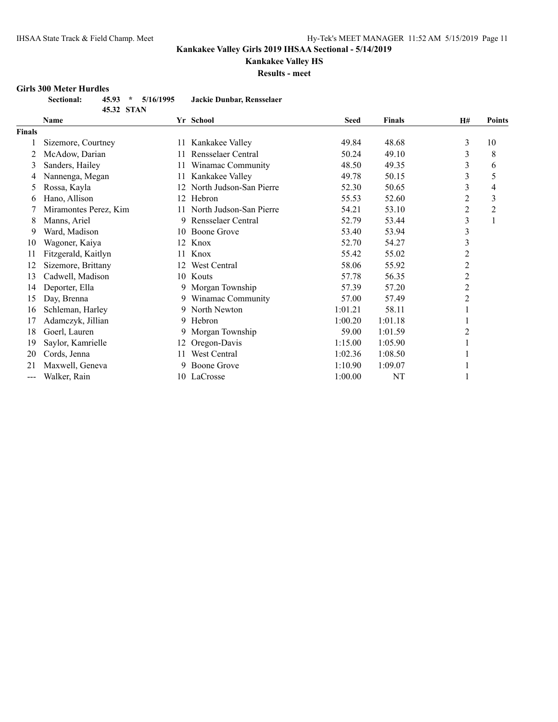# **Kankakee Valley HS**

**Results - meet**

#### **Girls 300 Meter Hurdles**

| <b>Sectional:</b> |            | $45.93 * 5/16/1995$ | Jackie Dunbar, Rensselaer |
|-------------------|------------|---------------------|---------------------------|
|                   | 45.32 STAN |                     |                           |

|        | <b>Name</b>           |    | Yr School               | <b>Seed</b> | <b>Finals</b> | <b>H#</b>      | <b>Points</b> |
|--------|-----------------------|----|-------------------------|-------------|---------------|----------------|---------------|
| Finals |                       |    |                         |             |               |                |               |
|        | Sizemore, Courtney    | 11 | Kankakee Valley         | 49.84       | 48.68         | 3              | 10            |
| 2      | McAdow, Darian        |    | Rensselaer Central      | 50.24       | 49.10         | 3              | 8             |
| 3      | Sanders, Hailey       | 11 | Winamac Community       | 48.50       | 49.35         | 3              | 6             |
| 4      | Nannenga, Megan       | 11 | Kankakee Valley         | 49.78       | 50.15         | 3              | 5             |
| 5      | Rossa, Kayla          |    | North Judson-San Pierre | 52.30       | 50.65         | 3              | 4             |
| 6      | Hano, Allison         | 12 | Hebron                  | 55.53       | 52.60         | $\overline{c}$ | 3             |
|        | Miramontes Perez, Kim |    | North Judson-San Pierre | 54.21       | 53.10         | 2              | 2             |
| 8      | Manns, Ariel          | 9  | Rensselaer Central      | 52.79       | 53.44         | 3              |               |
| 9      | Ward, Madison         | 10 | Boone Grove             | 53.40       | 53.94         | 3              |               |
| 10     | Wagoner, Kaiya        | 12 | Knox                    | 52.70       | 54.27         | 3              |               |
| 11     | Fitzgerald, Kaitlyn   | 11 | Knox                    | 55.42       | 55.02         | 2              |               |
| 12     | Sizemore, Brittany    | 12 | West Central            | 58.06       | 55.92         | $\overline{c}$ |               |
| 13     | Cadwell, Madison      |    | 10 Kouts                | 57.78       | 56.35         | $\overline{c}$ |               |
| 14     | Deporter, Ella        | 9  | Morgan Township         | 57.39       | 57.20         | $\overline{c}$ |               |
| 15     | Day, Brenna           | 9. | Winamac Community       | 57.00       | 57.49         | 2              |               |
| 16     | Schleman, Harley      | 9. | North Newton            | 1:01.21     | 58.11         |                |               |
| 17     | Adamczyk, Jillian     | 9  | Hebron                  | 1:00.20     | 1:01.18       |                |               |
| 18     | Goerl, Lauren         | 9. | Morgan Township         | 59.00       | 1:01.59       | 2              |               |
| 19     | Saylor, Kamrielle     |    | Oregon-Davis            | 1:15.00     | 1:05.90       |                |               |
| 20     | Cords, Jenna          | 11 | West Central            | 1:02.36     | 1:08.50       |                |               |
| 21     | Maxwell, Geneva       | 9  | Boone Grove             | 1:10.90     | 1:09.07       |                |               |
| ---    | Walker, Rain          |    | 10 LaCrosse             | 1:00.00     | NT            |                |               |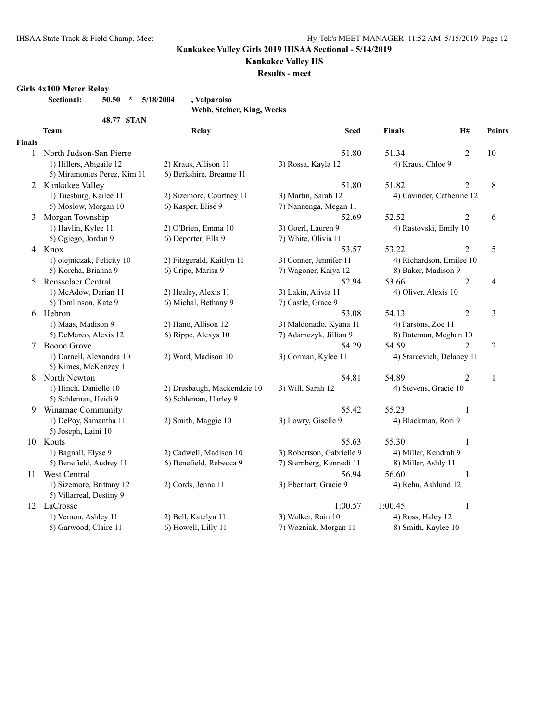### **Kankakee Valley HS**

**Results - meet**

#### **Girls 4x100 Meter Relay**

**Sectional: 50.50 \* 5/18/2004 , Valparaiso**

**Webb, Steiner, King, Weeks**

|               | 48.77 STAN                  |                             |                           |                        |                             |                |
|---------------|-----------------------------|-----------------------------|---------------------------|------------------------|-----------------------------|----------------|
|               | <b>Team</b>                 | Relay                       | <b>Seed</b>               | <b>Finals</b>          | <b>H#</b>                   | <b>Points</b>  |
| <b>Finals</b> |                             |                             |                           |                        |                             |                |
| $\mathbf{1}$  | North Judson-San Pierre     |                             | 51.80                     | 51.34                  | 2                           | 10             |
|               | 1) Hillers, Abigaile 12     | 2) Kraus, Allison 11        | 3) Rossa, Kayla 12        | 4) Kraus, Chloe 9      |                             |                |
|               | 5) Miramontes Perez, Kim 11 | 6) Berkshire, Breanne 11    |                           |                        |                             |                |
|               | 2 Kankakee Valley           |                             | 51.80                     | 51.82                  | 2                           | 8              |
|               | 1) Tuesburg, Kailee 11      | 2) Sizemore, Courtney 11    | 3) Martin, Sarah 12       |                        | 4) Cavinder, Catherine 12   |                |
|               | 5) Moslow, Morgan 10        | 6) Kasper, Elise 9          | 7) Nannenga, Megan 11     |                        |                             |                |
| 3             | Morgan Township             |                             | 52.69                     | 52.52                  | $\overline{2}$              | 6              |
|               | 1) Havlin, Kylee 11         | 2) O'Brien, Emma 10         | 3) Goerl, Lauren 9        | 4) Rastovski, Emily 10 |                             |                |
|               | 5) Ogiego, Jordan 9         | 6) Deporter, Ella 9         | 7) White, Olivia 11       |                        |                             |                |
|               | 4 Knox                      |                             | 53.57                     | 53.22                  | $\overline{2}$              | 5              |
|               | 1) olejniczak, Felicity 10  | 2) Fitzgerald, Kaitlyn 11   | 3) Conner, Jennifer 11    |                        | 4) Richardson, Emilee 10    |                |
|               | 5) Korcha, Brianna 9        | 6) Cripe, Marisa 9          | 7) Wagoner, Kaiya 12      | 8) Baker, Madison 9    |                             |                |
| 5             | Rensselaer Central          |                             | 52.94                     | 53.66                  | $\overline{2}$              | 4              |
|               | 1) McAdow, Darian 11        | 2) Healey, Alexis 11        | 3) Lakin, Alivia 11       | 4) Oliver, Alexis 10   |                             |                |
|               | 5) Tomlinson, Kate 9        | 6) Michal, Bethany 9        | 7) Castle, Grace 9        |                        |                             |                |
|               | 6 Hebron                    |                             | 53.08                     | 54.13                  | $\overline{2}$              | 3              |
|               | 1) Maas, Madison 9          | 2) Hano, Allison 12         | 3) Maldonado, Kyana 11    | 4) Parsons, Zoe 11     |                             |                |
|               | 5) DeMarco, Alexis 12       | 6) Rippe, Alexys 10         | 7) Adamczyk, Jillian 9    |                        | 8) Bateman, Meghan 10       |                |
|               | <b>Boone Grove</b>          |                             | 54.29                     | 54.59                  | $\mathcal{D}_{\mathcal{A}}$ | $\overline{2}$ |
|               | 1) Darnell, Alexandra 10    | 2) Ward, Madison 10         | 3) Corman, Kylee 11       |                        | 4) Starcevich, Delaney 11   |                |
|               | 5) Kimes, McKenzey 11       |                             |                           |                        |                             |                |
| 8             | North Newton                |                             | 54.81                     | 54.89                  | $\overline{2}$              | 1              |
|               | 1) Hinch, Danielle 10       | 2) Dresbaugh, Mackendzie 10 | 3) Will, Sarah 12         | 4) Stevens, Gracie 10  |                             |                |
|               | 5) Schleman, Heidi 9        | 6) Schleman, Harley 9       |                           |                        |                             |                |
| 9.            | Winamac Community           |                             | 55.42                     | 55.23                  | 1                           |                |
|               | 1) DePoy, Samantha 11       | 2) Smith, Maggie 10         | 3) Lowry, Giselle 9       | 4) Blackman, Rori 9    |                             |                |
|               | 5) Joseph, Laini 10         |                             |                           |                        |                             |                |
|               | 10 Kouts                    |                             | 55.63                     | 55.30                  | 1                           |                |
|               | 1) Bagnall, Elyse 9         | 2) Cadwell, Madison 10      | 3) Robertson, Gabrielle 9 | 4) Miller, Kendrah 9   |                             |                |
|               | 5) Benefield, Audrey 11     | 6) Benefield, Rebecca 9     | 7) Sternberg, Kennedi 11  | 8) Miller, Ashly 11    |                             |                |
| 11 -          | West Central                |                             | 56.94                     | 56.60                  | 1                           |                |
|               | 1) Sizemore, Brittany 12    | 2) Cords, Jenna 11          | 3) Eberhart, Gracie 9     | 4) Rehn, Ashlund 12    |                             |                |
|               | 5) Villarreal, Destiny 9    |                             |                           |                        |                             |                |
|               | 12 LaCrosse                 |                             | 1:00.57                   | 1:00.45                | $\mathbf{1}$                |                |
|               | 1) Vernon, Ashley 11        | 2) Bell, Katelyn 11         | 3) Walker, Rain 10        | 4) Ross, Haley 12      |                             |                |
|               | 5) Garwood, Claire 11       | 6) Howell, Lilly 11         | 7) Wozniak, Morgan 11     | 8) Smith, Kaylee 10    |                             |                |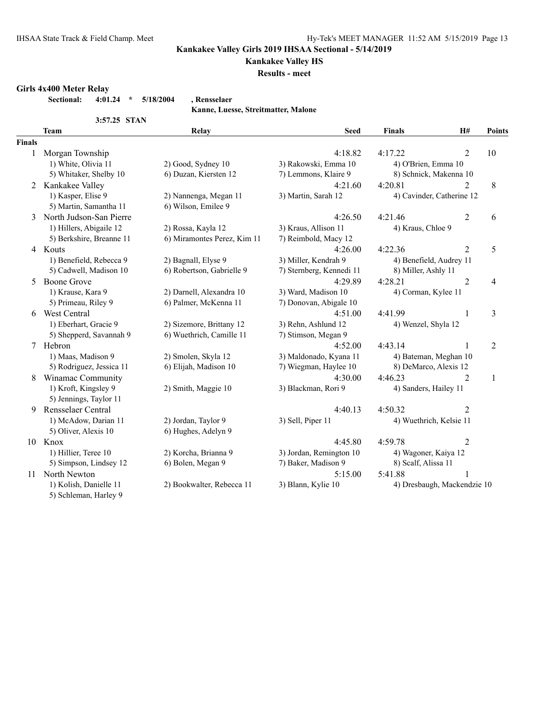### **Kankakee Valley HS**

**Results - meet**

#### **Girls 4x400 Meter Relay**

**Sectional: 4:01.24 \* 5/18/2004 , Rensselaer**

**Kanne, Luesse, Streitmatter, Malone**

|               | 3:57.25 STAN             |                             |                          |                       |                             |                |
|---------------|--------------------------|-----------------------------|--------------------------|-----------------------|-----------------------------|----------------|
|               | <b>Team</b>              | Relay                       | <b>Seed</b>              | <b>Finals</b>         | H#                          | <b>Points</b>  |
| <b>Finals</b> |                          |                             |                          |                       |                             |                |
|               | Morgan Township          |                             | 4:18.82                  | 4:17.22               | 2                           | 10             |
|               | 1) White, Olivia 11      | 2) Good, Sydney 10          | 3) Rakowski, Emma 10     | 4) O'Brien, Emma 10   |                             |                |
|               | 5) Whitaker, Shelby 10   | 6) Duzan, Kiersten 12       | 7) Lemmons, Klaire 9     |                       | 8) Schnick, Makenna 10      |                |
|               | 2 Kankakee Valley        |                             | 4:21.60                  | 4:20.81               | $\overline{2}$              | 8              |
|               | 1) Kasper, Elise 9       | 2) Nannenga, Megan 11       | 3) Martin, Sarah 12      |                       | 4) Cavinder, Catherine 12   |                |
|               | 5) Martin, Samantha 11   | 6) Wilson, Emilee 9         |                          |                       |                             |                |
| 3             | North Judson-San Pierre  |                             | 4:26.50                  | 4:21.46               | $\overline{2}$              | 6              |
|               | 1) Hillers, Abigaile 12  | 2) Rossa, Kayla 12          | 3) Kraus, Allison 11     | 4) Kraus, Chloe 9     |                             |                |
|               | 5) Berkshire, Breanne 11 | 6) Miramontes Perez, Kim 11 | 7) Reimbold, Macy 12     |                       |                             |                |
|               | 4 Kouts                  |                             | 4:26.00                  | 4:22.36               | $\overline{2}$              | 5              |
|               | 1) Benefield, Rebecca 9  | 2) Bagnall, Elyse 9         | 3) Miller, Kendrah 9     |                       | 4) Benefield, Audrey 11     |                |
|               | 5) Cadwell, Madison 10   | 6) Robertson, Gabrielle 9   | 7) Sternberg, Kennedi 11 | 8) Miller, Ashly 11   |                             |                |
| 5.            | <b>Boone Grove</b>       |                             | 4:29.89                  | 4:28.21               | $\overline{2}$              | 4              |
|               | 1) Krause, Kara 9        | 2) Darnell, Alexandra 10    | 3) Ward, Madison 10      | 4) Corman, Kylee 11   |                             |                |
|               | 5) Primeau, Riley 9      | 6) Palmer, McKenna 11       | 7) Donovan, Abigale 10   |                       |                             |                |
| 6             | <b>West Central</b>      |                             | 4:51.00                  | 4:41.99               | 1                           | $\mathfrak{Z}$ |
|               | 1) Eberhart, Gracie 9    | 2) Sizemore, Brittany 12    | 3) Rehn, Ashlund 12      | 4) Wenzel, Shyla 12   |                             |                |
|               | 5) Shepperd, Savannah 9  | 6) Wuethrich, Camille 11    | 7) Stimson, Megan 9      |                       |                             |                |
| $\tau$        | Hebron                   |                             | 4:52.00                  | 4:43.14               | 1                           | $\overline{2}$ |
|               | 1) Maas, Madison 9       | 2) Smolen, Skyla 12         | 3) Maldonado, Kyana 11   |                       | 4) Bateman, Meghan 10       |                |
|               | 5) Rodriguez, Jessica 11 | 6) Elijah, Madison 10       | 7) Wiegman, Haylee 10    |                       | 8) DeMarco, Alexis 12       |                |
| 8             | Winamac Community        |                             | 4:30.00                  | 4:46.23               | $\overline{2}$              | $\mathbf{1}$   |
|               | 1) Kroft, Kingsley 9     | 2) Smith, Maggie 10         | 3) Blackman, Rori 9      | 4) Sanders, Hailey 11 |                             |                |
|               | 5) Jennings, Taylor 11   |                             |                          |                       |                             |                |
| 9             | Rensselaer Central       |                             | 4:40.13                  | 4:50.32               | $\overline{2}$              |                |
|               | 1) McAdow, Darian 11     | 2) Jordan, Taylor 9         | 3) Sell, Piper 11        |                       | 4) Wuethrich, Kelsie 11     |                |
|               | 5) Oliver, Alexis 10     | 6) Hughes, Adelyn 9         |                          |                       |                             |                |
|               | 10 Knox                  |                             | 4:45.80                  | 4:59.78               | 2                           |                |
|               | 1) Hillier, Teree 10     | 2) Korcha, Brianna 9        | 3) Jordan, Remington 10  | 4) Wagoner, Kaiya 12  |                             |                |
|               | 5) Simpson, Lindsey 12   | 6) Bolen, Megan 9           | 7) Baker, Madison 9      | 8) Scalf, Alissa 11   |                             |                |
| 11            | North Newton             |                             | 5:15.00                  | 5:41.88               | 1                           |                |
|               | 1) Kolish, Danielle 11   | 2) Bookwalter, Rebecca 11   | 3) Blann, Kylie 10       |                       | 4) Dresbaugh, Mackendzie 10 |                |

5) Schleman, Harley 9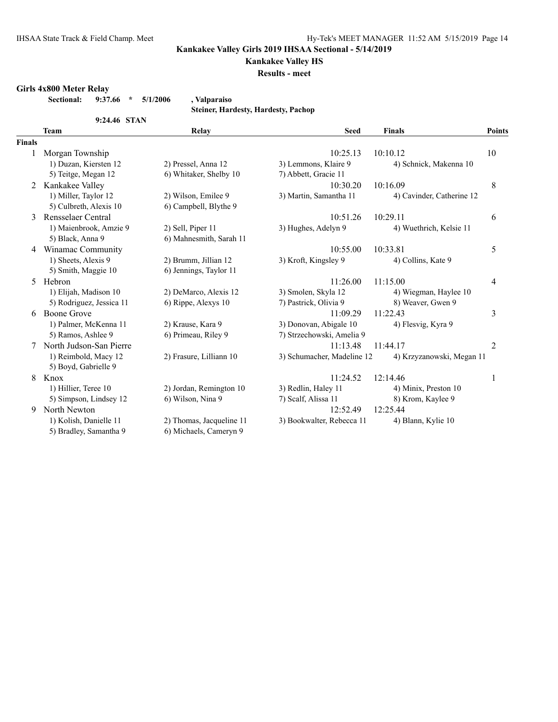### **Kankakee Valley HS**

**Results - meet**

#### **Girls 4x800 Meter Relay**

**Sectional: 9:37.66 \* 5/1/2006 , Valparaiso**

**Steiner, Hardesty, Hardesty, Pachop**

|        | 9:24.46 STAN             |                          |                            |                           |                         |
|--------|--------------------------|--------------------------|----------------------------|---------------------------|-------------------------|
|        | <b>Team</b>              | Relay                    | <b>Seed</b>                | <b>Finals</b>             | <b>Points</b>           |
| Finals |                          |                          |                            |                           |                         |
|        | Morgan Township          |                          | 10:25.13                   | 10:10.12                  | 10                      |
|        | 1) Duzan, Kiersten 12    | 2) Pressel, Anna 12      | 3) Lemmons, Klaire 9       | 4) Schnick, Makenna 10    |                         |
|        | 5) Teitge, Megan 12      | 6) Whitaker, Shelby 10   | 7) Abbett, Gracie 11       |                           |                         |
| 2      | Kankakee Valley          |                          | 10:30.20                   | 10:16.09                  | $\,8\,$                 |
|        | 1) Miller, Taylor 12     | 2) Wilson, Emilee 9      | 3) Martin, Samantha 11     | 4) Cavinder, Catherine 12 |                         |
|        | 5) Culbreth, Alexis 10   | 6) Campbell, Blythe 9    |                            |                           |                         |
| 3      | Rensselaer Central       |                          | 10:51.26                   | 10:29.11                  | 6                       |
|        | 1) Maienbrook, Amzie 9   | 2) Sell, Piper 11        | 3) Hughes, Adelyn 9        | 4) Wuethrich, Kelsie 11   |                         |
|        | 5) Black, Anna 9         | 6) Mahnesmith, Sarah 11  |                            |                           |                         |
| 4      | Winamac Community        |                          | 10:55.00                   | 10:33.81                  | 5                       |
|        | 1) Sheets, Alexis 9      | 2) Brumm, Jillian 12     | 3) Kroft, Kingsley 9       | 4) Collins, Kate 9        |                         |
|        | 5) Smith, Maggie 10      | 6) Jennings, Taylor 11   |                            |                           |                         |
| 5      | Hebron                   |                          | 11:26.00                   | 11:15.00                  | 4                       |
|        | 1) Elijah, Madison 10    | 2) DeMarco, Alexis 12    | 3) Smolen, Skyla 12        | 4) Wiegman, Haylee 10     |                         |
|        | 5) Rodriguez, Jessica 11 | 6) Rippe, Alexys 10      | 7) Pastrick, Olivia 9      | 8) Weaver, Gwen 9         |                         |
| 6      | Boone Grove              |                          | 11:09.29                   | 11:22.43                  | $\overline{\mathbf{3}}$ |
|        | 1) Palmer, McKenna 11    | 2) Krause, Kara 9        | 3) Donovan, Abigale 10     | 4) Flesvig, Kyra 9        |                         |
|        | 5) Ramos, Ashlee 9       | 6) Primeau, Riley 9      | 7) Strzechowski, Amelia 9  |                           |                         |
|        | North Judson-San Pierre  |                          | 11:13.48                   | 11:44.17                  | 2                       |
|        | 1) Reimbold, Macy 12     | 2) Frasure, Lilliann 10  | 3) Schumacher, Madeline 12 | 4) Krzyzanowski, Megan 11 |                         |
|        | 5) Boyd, Gabrielle 9     |                          |                            |                           |                         |
| 8      | Knox                     |                          | 11:24.52                   | 12:14.46                  | 1                       |
|        | 1) Hillier, Teree 10     | 2) Jordan, Remington 10  | 3) Redlin, Haley 11        | 4) Minix, Preston 10      |                         |
|        | 5) Simpson, Lindsey 12   | 6) Wilson, Nina 9        | 7) Scalf, Alissa 11        | 8) Krom, Kaylee 9         |                         |
| 9      | North Newton             |                          | 12:52.49                   | 12:25.44                  |                         |
|        | 1) Kolish, Danielle 11   | 2) Thomas, Jacqueline 11 | 3) Bookwalter, Rebecca 11  | 4) Blann, Kylie 10        |                         |
|        | 5) Bradley, Samantha 9   | 6) Michaels, Cameryn 9   |                            |                           |                         |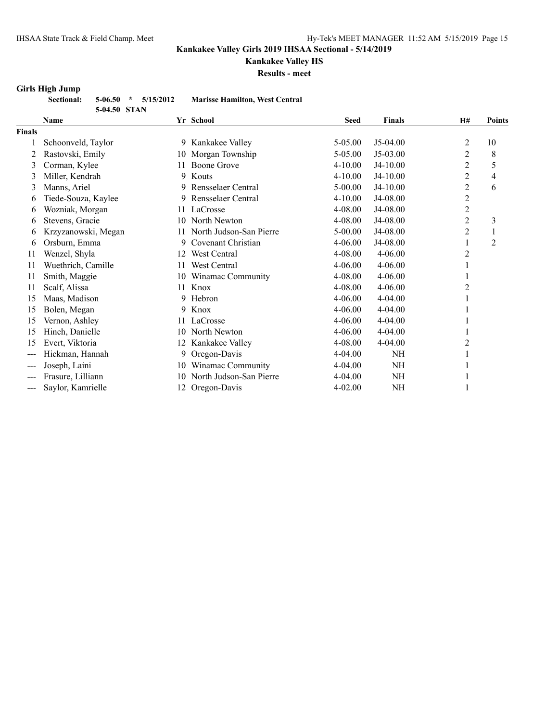# **Kankakee Valley HS**

**Results - meet**

### **Girls High Jump**

|     | Sectional: 5-06.50 * 5/15/2012 |              |  |  | <b>Marisse Hamilton, West Central</b> |
|-----|--------------------------------|--------------|--|--|---------------------------------------|
|     |                                | 5-04.50 STAN |  |  |                                       |
| - - |                                |              |  |  |                                       |

|                   | <b>Name</b>         |     | Yr School               | <b>Seed</b> | <b>Finals</b> | H#             | Points         |
|-------------------|---------------------|-----|-------------------------|-------------|---------------|----------------|----------------|
| <b>Finals</b>     |                     |     |                         |             |               |                |                |
|                   | Schoonveld, Taylor  | 9   | Kankakee Valley         | 5-05.00     | J5-04.00      | $\overline{2}$ | 10             |
|                   | Rastovski, Emily    | 10  | Morgan Township         | 5-05.00     | J5-03.00      | 2              | 8              |
| 3                 | Corman, Kylee       | 11  | <b>Boone Grove</b>      | $4 - 10.00$ | J4-10.00      | 2              | 5              |
| 3                 | Miller, Kendrah     | 9   | Kouts                   | 4-10.00     | J4-10.00      | $\overline{2}$ | 4              |
| 3                 | Manns, Ariel        | 9   | Rensselaer Central      | 5-00.00     | J4-10.00      | $\overline{2}$ | 6              |
| 6                 | Tiede-Souza, Kaylee | 9   | Rensselaer Central      | $4 - 10.00$ | J4-08.00      | 2              |                |
| 6                 | Wozniak, Morgan     |     | 11 LaCrosse             | 4-08.00     | J4-08.00      | $\overline{c}$ |                |
| 6                 | Stevens, Gracie     | 10  | North Newton            | 4-08.00     | J4-08.00      | $\overline{2}$ | 3              |
| 6                 | Krzyzanowski, Megan | 11  | North Judson-San Pierre | 5-00.00     | J4-08.00      | $\overline{2}$ |                |
| 6                 | Orsburn, Emma       | 9   | Covenant Christian      | $4 - 06.00$ | J4-08.00      |                | $\overline{2}$ |
| 11                | Wenzel, Shyla       | 12  | West Central            | 4-08.00     | $4 - 06.00$   | 2              |                |
| 11                | Wuethrich, Camille  | 11  | West Central            | 4-06.00     | $4 - 06.00$   |                |                |
| 11                | Smith, Maggie       | 10  | Winamac Community       | 4-08.00     | $4 - 06.00$   |                |                |
| 11                | Scalf, Alissa       |     | 11 Knox                 | 4-08.00     | $4 - 06.00$   | 2              |                |
| 15                | Maas, Madison       | 9   | Hebron                  | 4-06.00     | 4-04.00       |                |                |
| 15                | Bolen, Megan        | 9   | Knox                    | 4-06.00     | 4-04.00       |                |                |
| 15                | Vernon, Ashley      | 11  | LaCrosse                | 4-06.00     | 4-04.00       |                |                |
| 15                | Hinch, Danielle     | 10  | North Newton            | 4-06.00     | 4-04.00       |                |                |
| 15                | Evert, Viktoria     | 12  | Kankakee Valley         | 4-08.00     | 4-04.00       | 2              |                |
| ---               | Hickman, Hannah     | 9   | Oregon-Davis            | 4-04.00     | NH            |                |                |
| ---               | Joseph, Laini       | 10  | Winamac Community       | 4-04.00     | NH            |                |                |
| ---               | Frasure, Lilliann   | 10  | North Judson-San Pierre | 4-04.00     | NH            |                |                |
| $\qquad \qquad -$ | Saylor, Kamrielle   | 12. | Oregon-Davis            | $4 - 02.00$ | NH            |                |                |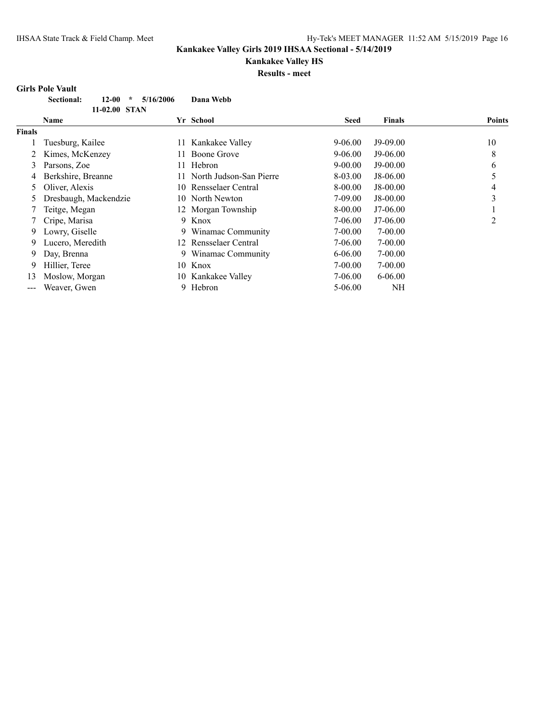# **Kankakee Valley HS**

**Results - meet**

# **Girls Pole Vault**

|                        | VIII IS I VIU VAUIU                       |           |                         |             |               |                |
|------------------------|-------------------------------------------|-----------|-------------------------|-------------|---------------|----------------|
|                        | <b>Sectional:</b><br>$12 - 00$<br>$\star$ | 5/16/2006 | Dana Webb               |             |               |                |
|                        | 11-02.00 STAN<br><b>Name</b>              |           | Yr School               | Seed        | <b>Finals</b> | <b>Points</b>  |
| <b>Finals</b>          |                                           |           |                         |             |               |                |
|                        | Tuesburg, Kailee                          | 11        | Kankakee Valley         | 9-06.00     | $J9-09.00$    | 10             |
|                        | Kimes, McKenzey                           | 11.       | Boone Grove             | $9 - 06.00$ | $J9-06.00$    | 8              |
| 3                      | Parsons, Zoe                              | 11.       | Hebron                  | $9 - 00.00$ | $J9-00.00$    | 6              |
| 4                      | Berkshire, Breanne                        |           | North Judson-San Pierre | 8-03.00     | $J8-06.00$    | 5              |
| 5.                     | Oliver, Alexis                            | 10.       | Rensselaer Central      | 8-00.00     | $J8-00.00$    | 4              |
| 5                      | Dresbaugh, Mackendzie                     | 10.       | North Newton            | 7-09.00     | $J8-00.00$    | 3              |
|                        | Teitge, Megan                             |           | 12 Morgan Township      | 8-00.00     | $J7-06.00$    |                |
|                        | Cripe, Marisa                             | 9         | Knox                    | 7-06.00     | $J7-06.00$    | $\overline{c}$ |
| 9                      | Lowry, Giselle                            | 9.        | Winamac Community       | $7 - 00.00$ | $7 - 00.00$   |                |
| 9.                     | Lucero, Meredith                          | 12        | Rensselaer Central      | 7-06.00     | $7 - 00.00$   |                |
| 9                      | Day, Brenna                               |           | 9 Winamac Community     | $6 - 06.00$ | $7 - 00.00$   |                |
| 9                      | Hillier, Teree                            | 10.       | Knox                    | 7-00.00     | $7 - 00.00$   |                |
| 13                     | Moslow, Morgan                            | 10        | Kankakee Valley         | 7-06.00     | $6 - 06.00$   |                |
| $\qquad \qquad \cdots$ | Weaver, Gwen                              | 9         | Hebron                  | $5 - 06.00$ | NH            |                |
|                        |                                           |           |                         |             |               |                |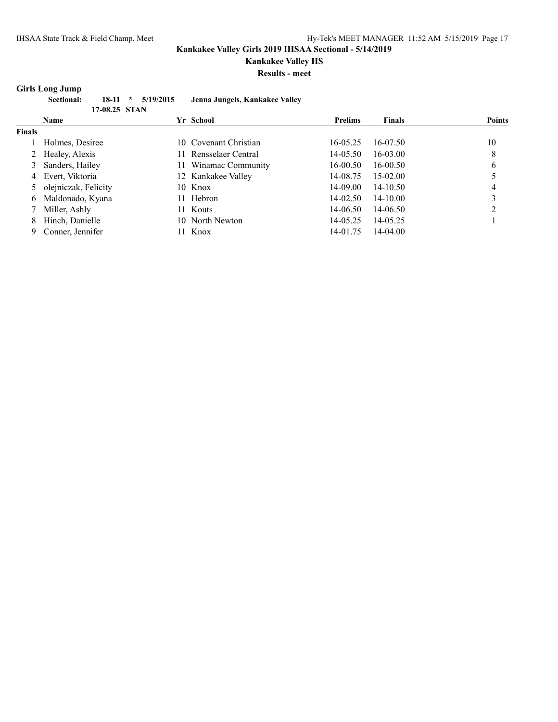### **Kankakee Valley HS**

**Results - meet**

### **Girls Long Jump**

| <b>Sectional:</b> |               | $18-11$ * $5/19/2015$ | Jenna Jungels, Kankakee Valley |
|-------------------|---------------|-----------------------|--------------------------------|
|                   | 17-08.25 STAN |                       |                                |
| Name              |               |                       | Vr. School                     |

|               | Name                   | Yr School             | <b>Prelims</b> | <b>Finals</b> | <b>Points</b> |
|---------------|------------------------|-----------------------|----------------|---------------|---------------|
| <b>Finals</b> |                        |                       |                |               |               |
|               | Holmes, Desiree        | 10 Covenant Christian | 16-05.25       | 16-07.50      | 10            |
|               | 2 Healey, Alexis       | 11 Rensselaer Central | 14-05.50       | 16-03.00      | 8             |
|               | 3 Sanders, Hailey      | 11 Winamac Community  | $16 - 00.50$   | 16-00.50      | 6             |
|               | 4 Evert, Viktoria      | 12 Kankakee Valley    | 14-08.75       | 15-02.00      |               |
|               | 5 olejniczak, Felicity | 10 Knox               | 14-09.00       | 14-10.50      |               |
| 6             | Maldonado, Kyana       | 11 Hebron             | 14-02.50       | 14-10.00      |               |
|               | Miller, Ashly          | 11 Kouts              | 14-06.50       | 14-06.50      |               |
| 8             | Hinch, Danielle        | 10 North Newton       | 14-05.25       | 14-05.25      |               |
|               | Conner, Jennifer       | 11 Knox               | 14-01.75       | 14-04.00      |               |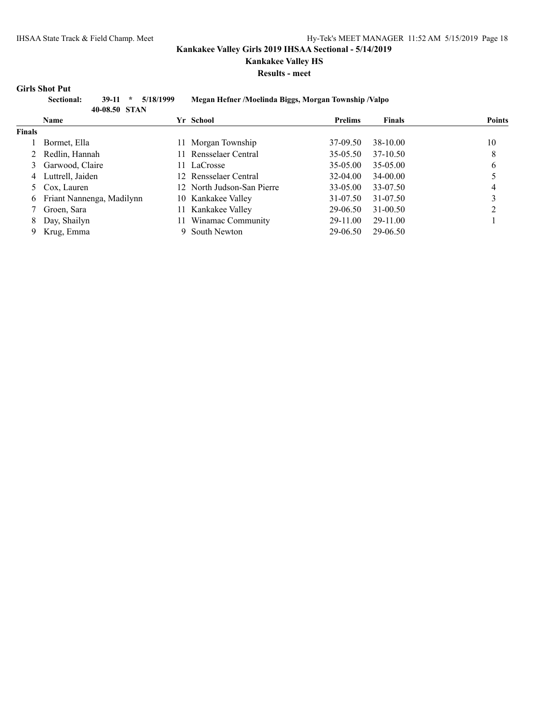**Kankakee Valley HS**

**Results - meet**

### **Girls Shot Put**

|               | Sectional:<br>5/18/1999<br>$39-11$<br>$\star$ |  | Megan Hefner /Moelinda Biggs, Morgan Township /Valpo |                |               |               |
|---------------|-----------------------------------------------|--|------------------------------------------------------|----------------|---------------|---------------|
|               | 40-08.50 STAN<br><b>Name</b>                  |  | Yr School                                            | <b>Prelims</b> | <b>Finals</b> | <b>Points</b> |
| <b>Finals</b> |                                               |  |                                                      |                |               |               |
|               | Bormet, Ella                                  |  | Morgan Township                                      | 37-09.50       | 38-10.00      | 10            |
|               | Redlin, Hannah                                |  | 11 Rensselaer Central                                | $35-05.50$     | 37-10.50      | 8             |
|               | 3 Garwood, Claire                             |  | 11 LaCrosse                                          | 35-05.00       | 35-05.00      | b             |
| 4             | Luttrell, Jaiden                              |  | 12 Rensselaer Central                                | 32-04.00       | 34-00.00      |               |
|               | Cox, Lauren                                   |  | 12 North Judson-San Pierre                           | 33-05.00       | 33-07.50      | 4             |
| 6             | Friant Nannenga, Madilynn                     |  | 10 Kankakee Valley                                   | 31-07.50       | 31-07.50      |               |
|               | Groen, Sara                                   |  | 11 Kankakee Valley                                   | 29-06.50       | $31 - 00.50$  | ∍             |
| 8             | Day, Shailyn                                  |  | Winamac Community                                    | 29-11.00       | 29-11.00      |               |
| 9             | Krug, Emma                                    |  | South Newton                                         | 29-06.50       | 29-06.50      |               |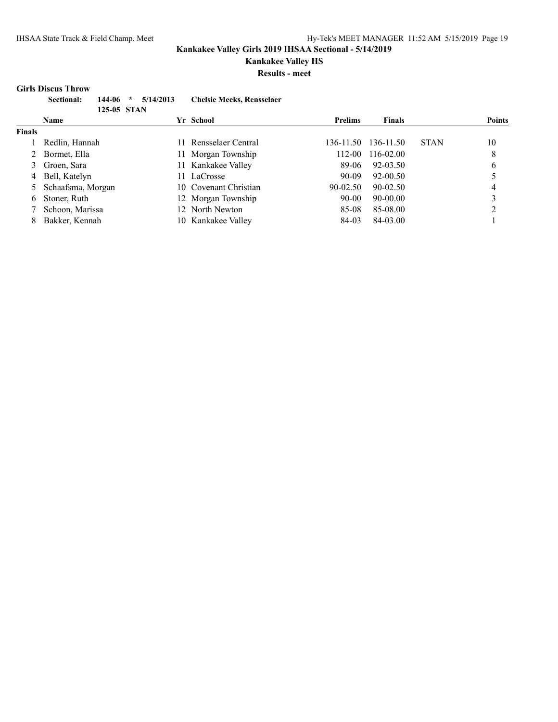# **Kankakee Valley HS**

**Results - meet**

#### **Girls Discus Throw**

| <b>Sectional:</b> |             | $144-06$ * $5/14/2013$ | <b>Chelsie Meeks, Rensselaer</b> |
|-------------------|-------------|------------------------|----------------------------------|
|                   | 125-05 STAN |                        |                                  |
| <b>Name</b>       |             |                        | Yr School                        |

|               | <b>Name</b>         | Yr School             | <b>Prelims</b> | <b>Finals</b> |             | <b>Points</b> |
|---------------|---------------------|-----------------------|----------------|---------------|-------------|---------------|
| <b>Finals</b> |                     |                       |                |               |             |               |
|               | Redlin, Hannah      | 11 Rensselaer Central | 136-11.50      | 136-11.50     | <b>STAN</b> | 10            |
| 2             | Bormet, Ella        | 11 Morgan Township    | 112-00         | 116-02.00     |             | 8             |
|               | Groen, Sara         | 11 Kankakee Valley    | 89-06          | 92-03.50      |             | 6             |
|               | 4 Bell, Katelyn     | 11 LaCrosse           | $90-09$        | 92-00.50      |             |               |
|               | 5 Schaafsma, Morgan | 10 Covenant Christian | $90 - 02.50$   | 90-02.50      |             | 4             |
| 6.            | Stoner, Ruth        | 12 Morgan Township    | 90-00          | 90-00.00      |             |               |
|               | Schoon, Marissa     | 12 North Newton       | 85-08          | 85-08.00      |             |               |
| 8.            | Bakker, Kennah      | 10 Kankakee Valley    | 84-03          | 84-03.00      |             |               |